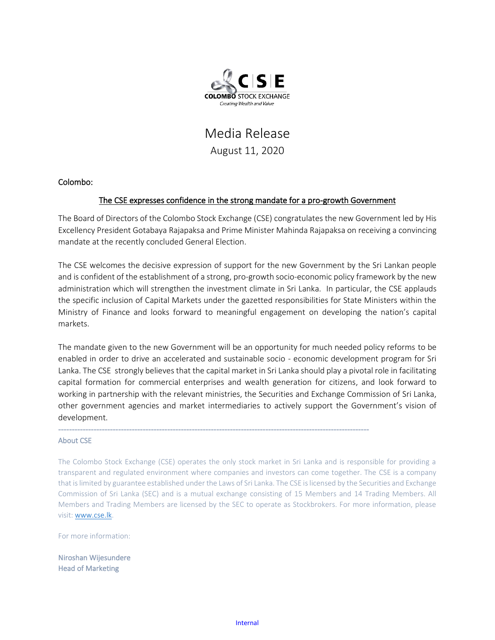

## Media Release August 11, 2020

## Colombo:

## The CSE expresses confidence in the strong mandate for a pro-growth Government

The Board of Directors of the Colombo Stock Exchange (CSE) congratulates the new Government led by His Excellency President Gotabaya Rajapaksa and Prime Minister Mahinda Rajapaksa on receiving a convincing mandate at the recently concluded General Election.

The CSE welcomes the decisive expression of support for the new Government by the Sri Lankan people and is confident of the establishment of a strong, pro-growth socio-economic policy framework by the new administration which will strengthen the investment climate in Sri Lanka. In particular, the CSE applauds the specific inclusion of Capital Markets under the gazetted responsibilities for State Ministers within the Ministry of Finance and looks forward to meaningful engagement on developing the nation's capital markets.

The mandate given to the new Government will be an opportunity for much needed policy reforms to be enabled in order to drive an accelerated and sustainable socio - economic development program for Sri Lanka. The CSE strongly believes that the capital market in Sri Lanka should play a pivotal role in facilitating capital formation for commercial enterprises and wealth generation for citizens, and look forward to working in partnership with the relevant ministries, the Securities and Exchange Commission of Sri Lanka, other government agencies and market intermediaries to actively support the Government's vision of development.

------------------------------------------------------------------------------------------------------------------

## About CSE

The Colombo Stock Exchange (CSE) operates the only stock market in Sri Lanka and is responsible for providing a transparent and regulated environment where companies and investors can come together. The CSE is a company that is limited by guarantee established under the Laws of Sri Lanka. The CSE is licensed by the Securities and Exchange Commission of Sri Lanka (SEC) and is a mutual exchange consisting of 15 Members and 14 Trading Members. All Members and Trading Members are licensed by the SEC to operate as Stockbrokers. For more information, please visit: [www.cse.lk.](http://www.cse.lk/) 

For more information:

Niroshan Wijesundere Head of Marketing